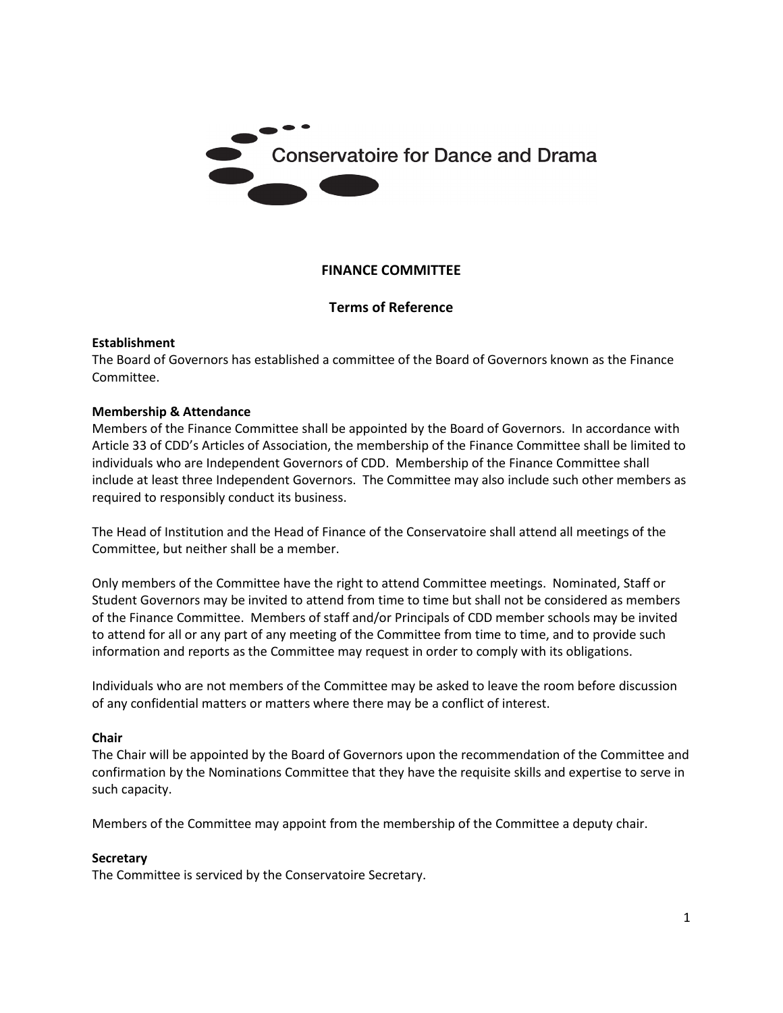

# **FINANCE COMMITTEE**

### **Terms of Reference**

#### **Establishment**

The Board of Governors has established a committee of the Board of Governors known as the Finance Committee.

#### **Membership & Attendance**

Members of the Finance Committee shall be appointed by the Board of Governors. In accordance with Article 33 of CDD's Articles of Association, the membership of the Finance Committee shall be limited to individuals who are Independent Governors of CDD. Membership of the Finance Committee shall include at least three Independent Governors. The Committee may also include such other members as required to responsibly conduct its business.

The Head of Institution and the Head of Finance of the Conservatoire shall attend all meetings of the Committee, but neither shall be a member.

Only members of the Committee have the right to attend Committee meetings. Nominated, Staff or Student Governors may be invited to attend from time to time but shall not be considered as members of the Finance Committee. Members of staff and/or Principals of CDD member schools may be invited to attend for all or any part of any meeting of the Committee from time to time, and to provide such information and reports as the Committee may request in order to comply with its obligations.

Individuals who are not members of the Committee may be asked to leave the room before discussion of any confidential matters or matters where there may be a conflict of interest.

#### **Chair**

The Chair will be appointed by the Board of Governors upon the recommendation of the Committee and confirmation by the Nominations Committee that they have the requisite skills and expertise to serve in such capacity.

Members of the Committee may appoint from the membership of the Committee a deputy chair.

#### **Secretary**

The Committee is serviced by the Conservatoire Secretary.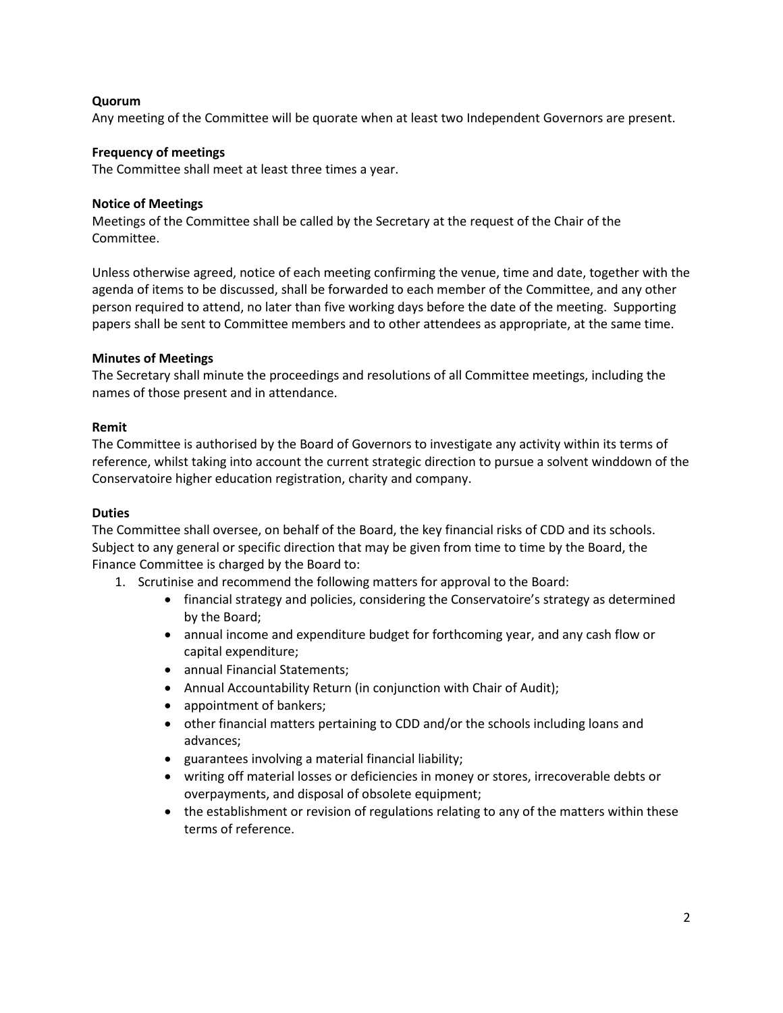### **Quorum**

Any meeting of the Committee will be quorate when at least two Independent Governors are present.

#### **Frequency of meetings**

The Committee shall meet at least three times a year.

#### **Notice of Meetings**

Meetings of the Committee shall be called by the Secretary at the request of the Chair of the Committee.

Unless otherwise agreed, notice of each meeting confirming the venue, time and date, together with the agenda of items to be discussed, shall be forwarded to each member of the Committee, and any other person required to attend, no later than five working days before the date of the meeting. Supporting papers shall be sent to Committee members and to other attendees as appropriate, at the same time.

#### **Minutes of Meetings**

The Secretary shall minute the proceedings and resolutions of all Committee meetings, including the names of those present and in attendance.

#### **Remit**

The Committee is authorised by the Board of Governors to investigate any activity within its terms of reference, whilst taking into account the current strategic direction to pursue a solvent winddown of the Conservatoire higher education registration, charity and company.

#### **Duties**

The Committee shall oversee, on behalf of the Board, the key financial risks of CDD and its schools. Subject to any general or specific direction that may be given from time to time by the Board, the Finance Committee is charged by the Board to:

- 1. Scrutinise and recommend the following matters for approval to the Board:
	- financial strategy and policies, considering the Conservatoire's strategy as determined by the Board;
	- annual income and expenditure budget for forthcoming year, and any cash flow or capital expenditure;
	- annual Financial Statements;
	- Annual Accountability Return (in conjunction with Chair of Audit);
	- appointment of bankers;
	- other financial matters pertaining to CDD and/or the schools including loans and advances;
	- guarantees involving a material financial liability;
	- writing off material losses or deficiencies in money or stores, irrecoverable debts or overpayments, and disposal of obsolete equipment;
	- the establishment or revision of regulations relating to any of the matters within these terms of reference.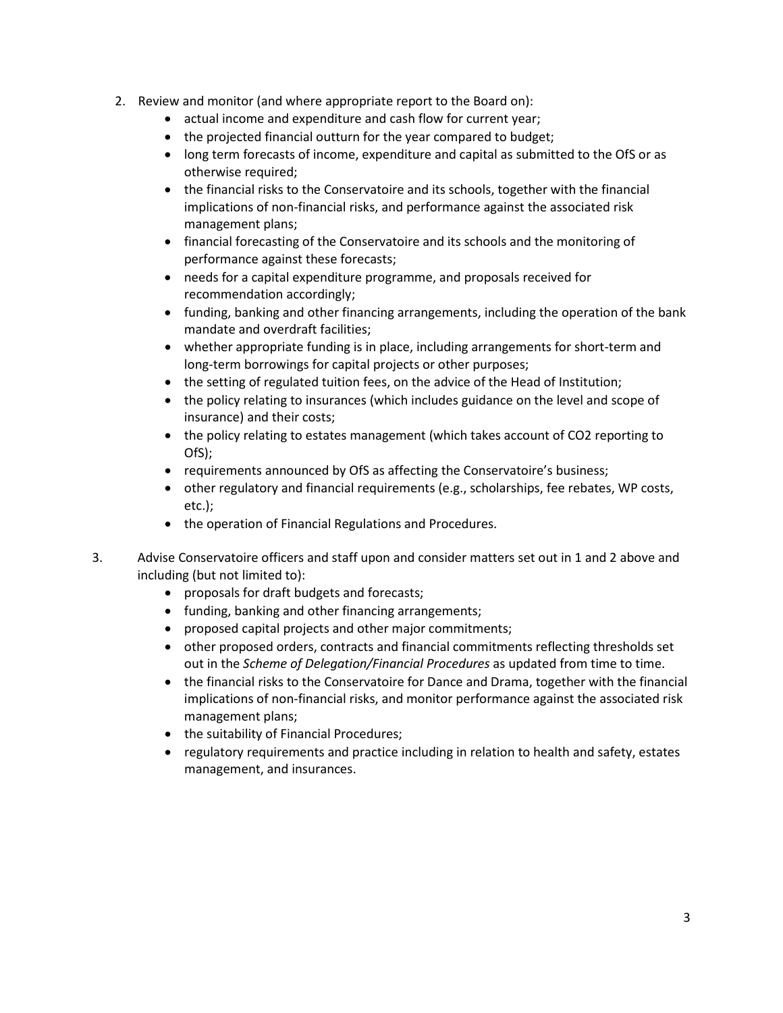- 2. Review and monitor (and where appropriate report to the Board on):
	- actual income and expenditure and cash flow for current year;
	- the projected financial outturn for the year compared to budget;
	- long term forecasts of income, expenditure and capital as submitted to the OfS or as otherwise required;
	- the financial risks to the Conservatoire and its schools, together with the financial implications of non-financial risks, and performance against the associated risk management plans;
	- financial forecasting of the Conservatoire and its schools and the monitoring of performance against these forecasts;
	- needs for a capital expenditure programme, and proposals received for recommendation accordingly;
	- funding, banking and other financing arrangements, including the operation of the bank mandate and overdraft facilities;
	- whether appropriate funding is in place, including arrangements for short-term and long-term borrowings for capital projects or other purposes;
	- the setting of regulated tuition fees, on the advice of the Head of Institution;
	- the policy relating to insurances (which includes guidance on the level and scope of insurance) and their costs;
	- the policy relating to estates management (which takes account of CO2 reporting to OfS);
	- requirements announced by OfS as affecting the Conservatoire's business;
	- other regulatory and financial requirements (e.g., scholarships, fee rebates, WP costs, etc.);
	- the operation of Financial Regulations and Procedures.
- 3. Advise Conservatoire officers and staff upon and consider matters set out in 1 and 2 above and including (but not limited to):
	- proposals for draft budgets and forecasts;
	- funding, banking and other financing arrangements;
	- proposed capital projects and other major commitments;
	- other proposed orders, contracts and financial commitments reflecting thresholds set out in the *Scheme of Delegation/Financial Procedures* as updated from time to time.
	- the financial risks to the Conservatoire for Dance and Drama, together with the financial implications of non-financial risks, and monitor performance against the associated risk management plans;
	- the suitability of Financial Procedures;
	- regulatory requirements and practice including in relation to health and safety, estates management, and insurances.